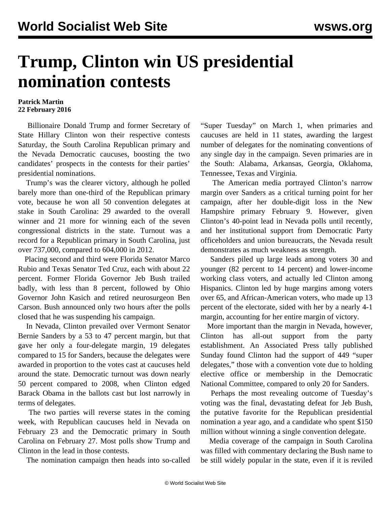## **Trump, Clinton win US presidential nomination contests**

## **Patrick Martin 22 February 2016**

 Billionaire Donald Trump and former Secretary of State Hillary Clinton won their respective contests Saturday, the South Carolina Republican primary and the Nevada Democratic caucuses, boosting the two candidates' prospects in the contests for their parties' presidential nominations.

 Trump's was the clearer victory, although he polled barely more than one-third of the Republican primary vote, because he won all 50 convention delegates at stake in South Carolina: 29 awarded to the overall winner and 21 more for winning each of the seven congressional districts in the state. Turnout was a record for a Republican primary in South Carolina, just over 737,000, compared to 604,000 in 2012.

 Placing second and third were Florida Senator Marco Rubio and Texas Senator Ted Cruz, each with about 22 percent. Former Florida Governor Jeb Bush trailed badly, with less than 8 percent, followed by Ohio Governor John Kasich and retired neurosurgeon Ben Carson. Bush announced only two hours after the polls closed that he was suspending his campaign.

 In Nevada, Clinton prevailed over Vermont Senator Bernie Sanders by a 53 to 47 percent margin, but that gave her only a four-delegate margin, 19 delegates compared to 15 for Sanders, because the delegates were awarded in proportion to the votes cast at caucuses held around the state. Democratic turnout was down nearly 50 percent compared to 2008, when Clinton edged Barack Obama in the ballots cast but lost narrowly in terms of delegates.

 The two parties will reverse states in the coming week, with Republican caucuses held in Nevada on February 23 and the Democratic primary in South Carolina on February 27. Most polls show Trump and Clinton in the lead in those contests.

The nomination campaign then heads into so-called

"Super Tuesday" on March 1, when primaries and caucuses are held in 11 states, awarding the largest number of delegates for the nominating conventions of any single day in the campaign. Seven primaries are in the South: Alabama, Arkansas, Georgia, Oklahoma, Tennessee, Texas and Virginia.

 The American media portrayed Clinton's narrow margin over Sanders as a critical turning point for her campaign, after her double-digit loss in the New Hampshire primary February 9. However, given Clinton's 40-point lead in Nevada polls until recently, and her institutional support from Democratic Party officeholders and union bureaucrats, the Nevada result demonstrates as much weakness as strength.

 Sanders piled up large leads among voters 30 and younger (82 percent to 14 percent) and lower-income working class voters, and actually led Clinton among Hispanics. Clinton led by huge margins among voters over 65, and African-American voters, who made up 13 percent of the electorate, sided with her by a nearly 4-1 margin, accounting for her entire margin of victory.

 More important than the margin in Nevada, however, Clinton has all-out support from the party establishment. An Associated Press tally published Sunday found Clinton had the support of 449 "super delegates," those with a convention vote due to holding elective office or membership in the Democratic National Committee, compared to only 20 for Sanders.

 Perhaps the most revealing outcome of Tuesday's voting was the final, devastating defeat for Jeb Bush, the putative favorite for the Republican presidential nomination a year ago, and a candidate who spent \$150 million without winning a single convention delegate.

 Media coverage of the campaign in South Carolina was filled with commentary declaring the Bush name to be still widely popular in the state, even if it is reviled